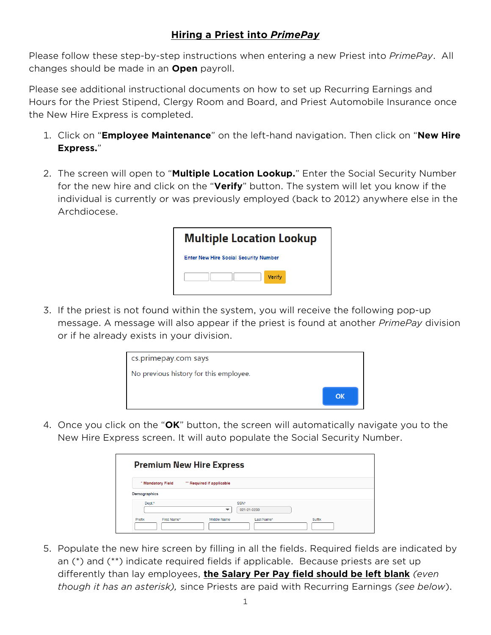## **Hiring a Priest into** *PrimePay*

Please follow these step-by-step instructions when entering a new Priest into *PrimePay*. All changes should be made in an **Open** payroll.

Please see additional instructional documents on how to set up Recurring Earnings and Hours for the Priest Stipend, Clergy Room and Board, and Priest Automobile Insurance once the New Hire Express is completed.

- 1. Click on "**Employee Maintenance**" on the left-hand navigation. Then click on "**New Hire Express.**"
- 2. The screen will open to "**Multiple Location Lookup.**" Enter the Social Security Number for the new hire and click on the "**Verify**" button. The system will let you know if the individual is currently or was previously employed (back to 2012) anywhere else in the Archdiocese.

| <b>Multiple Location Lookup</b>              |
|----------------------------------------------|
| <b>Enter New Hire Social Security Number</b> |
| Verify                                       |

3. If the priest is not found within the system, you will receive the following pop-up message. A message will also appear if the priest is found at another *PrimePay* division or if he already exists in your division.



4. Once you click on the "**OK**" button, the screen will automatically navigate you to the New Hire Express screen. It will auto populate the Social Security Number.

|                       | <b>Premium New Hire Express</b>                 |
|-----------------------|-------------------------------------------------|
| * Mandatory Field     | ** Required if applicable                       |
| Demographics          |                                                 |
| Dept.*                | SSN*<br>021-21-3230                             |
| Prefix<br>First Name* | Last Name <sup>*</sup><br>Suffix<br>Middle Name |

5. Populate the new hire screen by filling in all the fields. Required fields are indicated by an (\*) and (\*\*) indicate required fields if applicable. Because priests are set up differently than lay employees, **the Salary Per Pay field should be left blank** *(even though it has an asterisk),* since Priests are paid with Recurring Earnings *(see below*).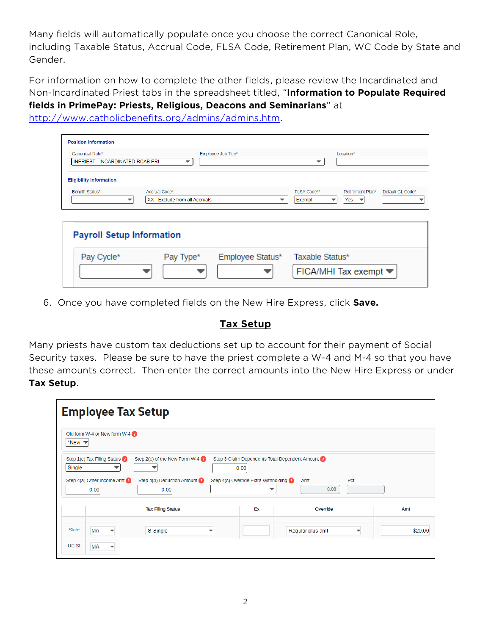Many fields will automatically populate once you choose the correct Canonical Role, including Taxable Status, Accrual Code, FLSA Code, Retirement Plan, WC Code by State and Gender.

For information on how to complete the other fields, please review the Incardinated and Non-Incardinated Priest tabs in the spreadsheet titled, "**Information to Populate Required fields in PrimePay: Priests, Religious, Deacons and Seminarians**" at

[http://www.catholicbenefits.org/admins/admins.htm.](http://www.catholicbenefits.org/admins/admins.htm)

| Canonical Role*                                   |               | Employee Job Title* |             |   | Location*        |                  |
|---------------------------------------------------|---------------|---------------------|-------------|---|------------------|------------------|
| INPRIEST - INCARDINATED-RCAB PRI                  |               |                     |             | ▼ |                  |                  |
|                                                   |               |                     |             |   |                  |                  |
|                                                   |               |                     |             |   |                  |                  |
|                                                   |               |                     |             |   |                  |                  |
| <b>Eligibility Information</b><br>Benefit Status* | Accrual Code* |                     | FLSA Code** |   | Retirement Plan* | Default GL Code* |

|            | <b>Payroll Setup Information</b> |                  |                                                     |  |  |  |  |  |
|------------|----------------------------------|------------------|-----------------------------------------------------|--|--|--|--|--|
| Pay Cycle* | Pay Type <sup>*</sup>            | Employee Status* | Taxable Status*<br>FICA/MHI Tax exempt <del>▼</del> |  |  |  |  |  |

6. Once you have completed fields on the New Hire Express, click **Save.**

## **Tax Setup**

Many priests have custom tax deductions set up to account for their payment of Social Security taxes. Please be sure to have the priest complete a W-4 and M-4 so that you have these amounts correct. Then enter the correct amounts into the New Hire Express or under **Tax Setup**.

| <b>Employee Tax Setup</b>                                                                                                                            |                          |                                                                                                   |                    |         |
|------------------------------------------------------------------------------------------------------------------------------------------------------|--------------------------|---------------------------------------------------------------------------------------------------|--------------------|---------|
| Old form W-4 or New form W-4<br>*New $\blacktriangledown$                                                                                            |                          |                                                                                                   |                    |         |
| Step 1(c) Tax Filing Status<br>Step 2(c) of the New Form W-4<br>Single<br>Step $4(a)$ Other Income Amt<br>Step 4(b) Deduction Amount<br>0.00<br>0.00 | 0.00                     | Step 3 Claim Dependents Total Dependent Amount (?)<br>Step 4(c) Override Extra Withholding ?<br>▼ | Pct<br>Amt<br>0.00 |         |
| <b>Tax Filing Status</b>                                                                                                                             |                          | Ex                                                                                                | Override           | Amt     |
| <b>State</b><br><b>MA</b><br>S-Single<br>$\overline{\phantom{a}}$                                                                                    | $\overline{\phantom{a}}$ |                                                                                                   | Regular plus amt   | \$20.00 |
| UC St<br><b>MA</b>                                                                                                                                   |                          |                                                                                                   |                    |         |